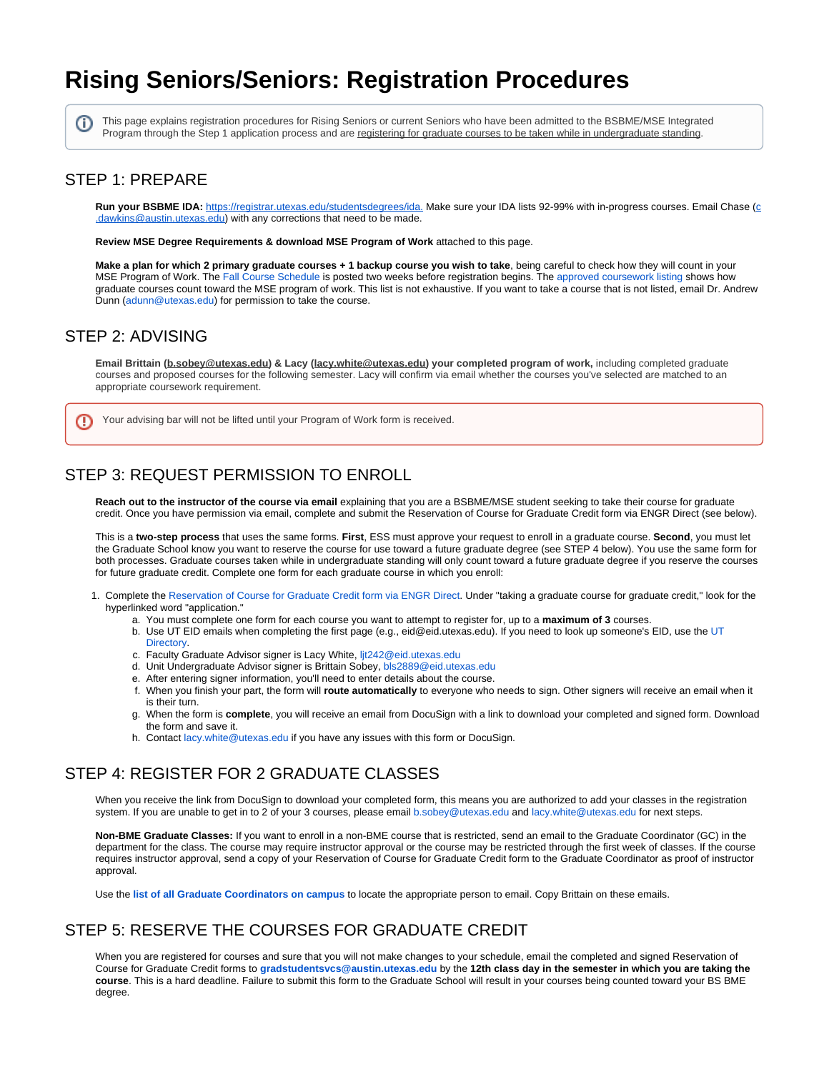# <span id="page-0-0"></span>**Rising Seniors/Seniors: Registration Procedures**

This page explains registration procedures for Rising Seniors or current Seniors who have been admitted to the BSBME/MSE Integrated Program through the Step 1 application process and are registering for graduate courses to be taken while in undergraduate standing.

#### STEP 1: PREPARE

(i)

Run your BSBME IDA: [https://registrar.utexas.edu/studentsdegrees/ida.](https://registrar.utexas.edu/students/degrees/ida) Make sure your IDA lists 92-99% with in-progress [c](mailto:c.dawkins@austin.utexas.edu)ourses. Email Chase (c @austin.utexas.edu) with any corrections that need to be made.

**Review MSE Degree Requirements & download MSE Program of Work** attached to this page.

**Make a plan for which 2 primary graduate courses + 1 backup course you wish to take**, being careful to check how they will count in your MSE Program of Work. The [Fall Course Schedule](https://registrar.utexas.edu) is posted two weeks before registration begins. The [approved coursework listing](https://wikis.utexas.edu/display/bmegradhandbook/Approved+Coursework+Listing) shows how graduate courses count toward the MSE program of work. This list is not exhaustive. If you want to take a course that is not listed, email Dr. Andrew Dunn [\(adunn@utexas.edu](mailto:adunn@utexas.edu)) for permission to take the course.

#### STEP 2: ADVISING

**Email Brittain [\(b.sobey@utexas.edu](mailto:b.sobey@utexas.edu)) & Lacy [\(lacy.white@utexas.edu](mailto:lacy.white@utexas.edu)) your completed program of work,** including completed graduate courses and proposed courses for the following semester. Lacy will confirm via email whether the courses you've selected are matched to an appropriate coursework requirement.

Your advising bar will not be lifted until your Program of Work form is received.

## STEP 3: REQUEST PERMISSION TO ENROLL

**Reach out to the instructor of the course via email** explaining that you are a BSBME/MSE student seeking to take their course for graduate credit. Once you have permission via email, complete and submit the Reservation of Course for Graduate Credit form via ENGR Direct (see below).

This is a **two-step process** that uses the same forms. **First**, ESS must approve your request to enroll in a graduate course. **Second**, you must let the Graduate School know you want to reserve the course for use toward a future graduate degree (see STEP 4 below). You use the same form for both processes. Graduate courses taken while in undergraduate standing will only count toward a future graduate degree if you reserve the courses for future graduate credit. Complete one form for each graduate course in which you enroll:

- 1. Complete the [Reservation of Course for Graduate Credit form via ENGR Direct.](https://students.engr.utexas.edu/policies-forms/undergrad-taking-grad-courses) Under "taking a graduate course for graduate credit," look for the hyperlinked word "application."
	- a. You must complete one form for each course you want to attempt to register for, up to a **maximum of 3** courses.
		- b. Use UT EID emails when completing the first page (e.g., eid@eid.utexas.edu). If you need to look up someone's EID, use the [UT](https://directory.utexas.edu)  [Directory](https://directory.utexas.edu).
		- c. Faculty Graduate Advisor signer is Lacy White, [ljt242@eid.utexas.edu](mailto:ljt242@eid.utexas.edu)
	- d. Unit Undergraduate Advisor signer is Brittain Sobey, [bls2889@eid.utexas.edu](mailto:bls2889@eid.utexas.edu)
	- e. After entering signer information, you'll need to enter details about the course.
	- f. When you finish your part, the form will **route automatically** to everyone who needs to sign. Other signers will receive an email when it is their turn.
	- g. When the form is **complete**, you will receive an email from DocuSign with a link to download your completed and signed form. Download the form and save it.
	- h. Contact [lacy.white@utexas.edu](mailto:lacy.white@utexas.edu) if you have any issues with this form or DocuSign.

## STEP 4: REGISTER FOR 2 GRADUATE CLASSES

When you receive the link from DocuSign to download your completed form, this means you are authorized to add your classes in the registration system. If you are unable to get in to 2 of your 3 courses, please email [b.sobey@utexas.edu](mailto:b.sobey@utexas.edu) and [lacy.white@utexas.edu](mailto:lacy.white@utexas.edu) for next steps.

**Non-BME Graduate Classes:** If you want to enroll in a non-BME course that is restricted, send an email to the Graduate Coordinator (GC) in the department for the class. The course may require instructor approval or the course may be restricted through the first week of classes. If the course requires instructor approval, send a copy of your Reservation of Course for Graduate Credit form to the Graduate Coordinator as proof of instructor approval.

Use the **[list of all Graduate Coordinators on campus](https://gradschool.utexas.edu/connect)** to locate the appropriate person to email. Copy Brittain on these emails.

## STEP 5: RESERVE THE COURSES FOR GRADUATE CREDIT

When you are registered for courses and sure that you will not make changes to your schedule, email the completed and signed Reservation of Course for Graduate Credit forms to **[gradstudentsvcs@austin.utexas.edu](mailto:gradstudentsvcs@austin.utexas.edu)** by the **12th class day in the semester in which you are taking the course**. This is a hard deadline. Failure to submit this form to the Graduate School will result in your courses being counted toward your BS BME degree.